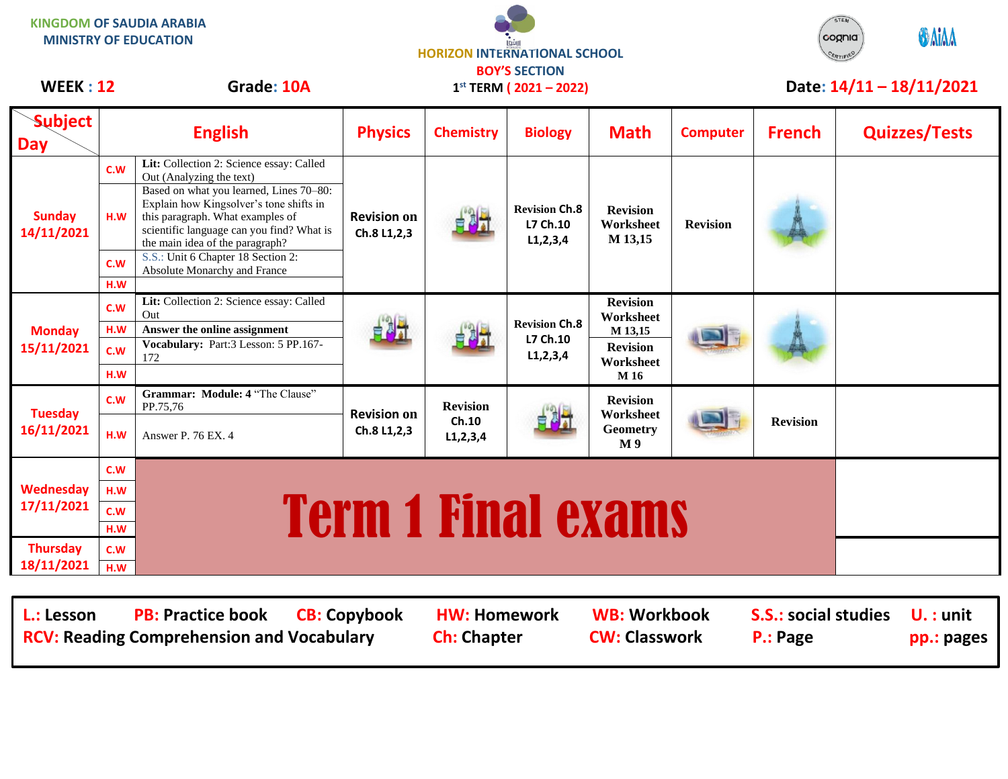| <b>KINGDOM OF SAUDIA ARABIA</b><br><b>MINISTRY OF EDUCATION</b> |                          |                                                                                                                                                                                                                                                                                                                                                      | <b>HORIZON INTERNATIONAL SCHOOL</b><br><b>BOY'S SECTION</b> |                                         |                                                 |                                                                                 |                 |                          | STEM<br><b>ONIAA</b><br>cognia |
|-----------------------------------------------------------------|--------------------------|------------------------------------------------------------------------------------------------------------------------------------------------------------------------------------------------------------------------------------------------------------------------------------------------------------------------------------------------------|-------------------------------------------------------------|-----------------------------------------|-------------------------------------------------|---------------------------------------------------------------------------------|-----------------|--------------------------|--------------------------------|
| <b>WEEK: 12</b>                                                 |                          | Grade: 10A                                                                                                                                                                                                                                                                                                                                           | $1^{st}$ TERM (2021 - 2022)                                 |                                         |                                                 |                                                                                 |                 | Date: 14/11 - 18/11/2021 |                                |
| <b>Subject</b><br><b>Day</b>                                    |                          | <b>English</b>                                                                                                                                                                                                                                                                                                                                       | <b>Physics</b>                                              | <b>Chemistry</b>                        | <b>Biology</b>                                  | <b>Math</b>                                                                     | <b>Computer</b> | <b>French</b>            | <b>Quizzes/Tests</b>           |
| <b>Sunday</b><br>14/11/2021                                     | C.W<br>H.W<br>C.W<br>H.W | Lit: Collection 2: Science essay: Called<br>Out (Analyzing the text)<br>Based on what you learned, Lines 70-80:<br>Explain how Kingsolver's tone shifts in<br>this paragraph. What examples of<br>scientific language can you find? What is<br>the main idea of the paragraph?<br>S.S.: Unit 6 Chapter 18 Section 2:<br>Absolute Monarchy and France | <b>Revision on</b><br>Ch.8 L1,2,3                           |                                         | <b>Revision Ch.8</b><br>L7 Ch.10<br>L1, 2, 3, 4 | <b>Revision</b><br>Worksheet<br>M 13,15                                         | <b>Revision</b> |                          |                                |
| <b>Monday</b><br>15/11/2021                                     | C.W<br>H.W<br>c.w<br>H.W | Lit: Collection 2: Science essay: Called<br>Out<br>Answer the online assignment<br>Vocabulary: Part:3 Lesson: 5 PP.167-<br>172                                                                                                                                                                                                                       |                                                             |                                         | <b>Revision Ch.8</b><br>L7 Ch.10<br>L1, 2, 3, 4 | <b>Revision</b><br>Worksheet<br>M 13,15<br><b>Revision</b><br>Worksheet<br>M 16 |                 |                          |                                |
| <b>Tuesday</b><br>16/11/2021                                    | C.W<br>H.W               | Grammar: Module: 4 "The Clause"<br>PP.75,76<br>Answer P. 76 EX. 4                                                                                                                                                                                                                                                                                    | <b>Revision on</b><br>Ch.8 L1,2,3                           | <b>Revision</b><br>Ch.10<br>L1, 2, 3, 4 |                                                 | <b>Revision</b><br>Worksheet<br><b>Geometry</b><br>M <sub>9</sub>               |                 | <b>Revision</b>          |                                |
| Wednesday<br>17/11/2021                                         | C.W<br>H.W<br>c.w<br>H.W |                                                                                                                                                                                                                                                                                                                                                      |                                                             |                                         | <b>Term 1 Final exams</b>                       |                                                                                 |                 |                          |                                |
| <b>Thursday</b><br>18/11/2021                                   | C.W<br>H.W               |                                                                                                                                                                                                                                                                                                                                                      |                                                             |                                         |                                                 |                                                                                 |                 |                          |                                |

 $STEM$ 

**L.: Lesson PB: Practice book CB: Copybook HW: Homework WB: Workbook S.S.: social studies U. : unit** RCV: Reading Comprehension and Vocabulary **Ch:** Chapter **CW: Classwork P.: Page** pp.: pages